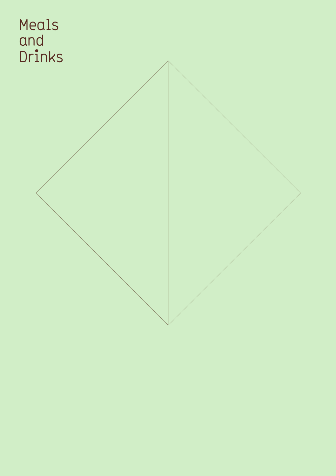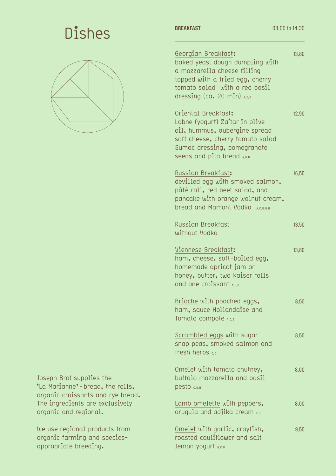# **BREAKFAST BREAKFAST BREAKFAST D8:00 to 14:30**



Joseph Brot supplies the \*La Marianne' - bread, the rolls, organic croissants and rye bread. The ingredients are exclusively organic and regional.

We use regional products from organic farming and speciesappropriate breeding.

Georgian Breakfast: baked yeast dough dumpling with a mozzarella cheese filling topped with a fried egg, cherry tomato salad with a red basil dressing (ca. 20 min)  $_{A,C,G}$ Oriental Breakfast: Labne (yogurt) Za'tar in olive oil, hummus, aubergine spread soft cheese, cherry tomato salad Sumac dressing, pomegranate seeds and pita bread A, G, N Russian Breakfast: devilled egg with smoked salmon, pâté roll, red beet salad, and pancake with orange walnut cream, bread and Mamont Vodka A, C, D, G, H Russian Breakfast without Vodka Viennese Breakfast: ham, cheese, soft-boiled egg, homemade apricot jam or honey, butter, two Kaiser rolls and one croissant  $_{A, C, G}$ Brioche with poached eggs, ham, sauce Hollandaise and Tomato compote A, c, G Scrambled eggs with sugar snap peas, smoked salmon and fresh herbs  $\epsilon_0$ Omelet with tomato chutney, buffalo mozzarella and basil  $p$ esto  $c, G, H$ Lamb omelette with peppers, arugula and adjika cream c.G Omelet with garlic, crayfish, roasted cauliflower and salt 13,80 12,90 16,50 13,50 13,80 8,50 8,50 8,00 8,00 9,50

lemon yogurt  $B, C, G$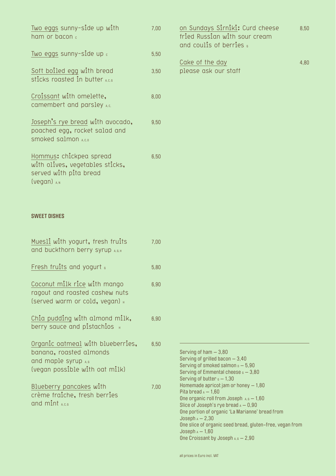| Two eggs sunny-side up with<br>ham or bacon c                                                                 | 7,00 |
|---------------------------------------------------------------------------------------------------------------|------|
| Two eggs sunny-side up $\epsilon$                                                                             | 5,50 |
| Soft boiled egg with bread<br>sticks roasted in butter $_{A,C,G}$                                             | 3,50 |
| Croissant with omelette,<br>camembert and parsley A.c.                                                        | 8,00 |
| Joseph's rye bread with avocado,<br>poached egg, rocket salad and<br>Smoked salmon A.C.D                      | 9,50 |
| Hommus: chickpea spread<br>with olives, vegetables sticks,<br>served with pita bread<br>$(\nu$ egan) $_{A,N}$ | 6,50 |

### **SWEET DISHES**

| Muesli with yogurt, fresh fruits<br>and buckthorn berry syrup A, G, H                                                 | 7,00 |
|-----------------------------------------------------------------------------------------------------------------------|------|
| Fresh fruits and yogurt $\epsilon$                                                                                    | 5,80 |
| Coconut milk rice with mango<br>ragout and roasted cashew nuts<br>(served warm or cold, vegan) H                      | 6,90 |
| Chia pudding with almond milk,<br>berry sauce and pistachios $\,$ $_{\textrm{\tiny{H}}}$                              | 6,90 |
| Organic oatmeal with blueberries,<br>banana, roasted almonds<br>and maple syrup A,G<br>(vegan possible with oat milk) | 6,50 |
| Blueberry pancakes with<br>crème fraiche, fresh berries<br>and mint A.c.G                                             | 7,00 |

| 8.50 |
|------|
|      |
|      |
|      |
| 4.80 |
|      |
|      |

| Serving of ham $-3,80$                                   |
|----------------------------------------------------------|
| Serving of grilled bacon $-3,40$                         |
| Serving of smoked salmon $_0 - 5,90$                     |
| Serving of Emmental cheese $s - 3,80$                    |
| Serving of butter $\epsilon - 1,30$                      |
| Homemade apricot jam or honey $-1,80$                    |
| Pita bread $_4 - 1.60$                                   |
| One organic roll from Joseph $A, G = 1, 60$              |
| Slice of Joseph's rye bread $A - 0.90$                   |
| One portion of organic 'La Marianne' bread from          |
| $Joseph A - 2.30$                                        |
| One slice of organic seed bread, gluten-free, vegan from |
| $Joseph A - 1,60$                                        |
| One Croissant by Joseph $A, G = 2,90$                    |
|                                                          |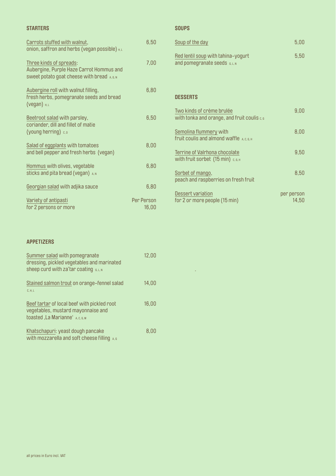#### **STARTERS**

| Carrots stuffed with walnut,<br>onion, saffron and herbs (vegan possible) $H, L$                                   | 6,50                |
|--------------------------------------------------------------------------------------------------------------------|---------------------|
| Three kinds of spreads:<br>Aubergine, Purple Haze Carrot Hommus and<br>Sweet potato goat cheese with bread A, G, N | 7,00                |
| Aubergine roll with walnut filling,<br>fresh herbs, pomegranate seeds and bread<br>(vegan) $H, L$                  | 6,80                |
| Beetroot salad with parsley,<br>coriander, dill and fillet of matie<br>(young herring) c, D                        | 6,50                |
| Salad of eggplants with tomatoes<br>and bell pepper and fresh herbs (vegan)                                        | 8,00                |
| Hommus with olives, vegetable<br>Sticks and pita bread (vegan) A, N                                                | 6,80                |
| Georgian salad with adjika sauce                                                                                   | 6,80                |
| Variety of antipasti<br>for 2 persons or more                                                                      | Per Person<br>16,00 |

# **SOUPS**

| Soup of the day                                                     | 5.00 |
|---------------------------------------------------------------------|------|
| Red lentil soup with tahina-yogurt<br>and pomegranate seeds G, L, N | 5.50 |

### **DESSERTS**

 $\sim$ 

| Two kinds of crème brulée<br>with tonka and orange, and fruit coulis c, G | 9.00                |
|---------------------------------------------------------------------------|---------------------|
| Semolina flummery with<br>fruit coulis and almond waffle A, C, G, H       | 8,00                |
| Terrine of Valrhona chocolate<br>With fruit sorbet (15 min) c, G, H       | 9,50                |
| Sorbet of mango,<br>peach and raspberries on fresh fruit                  | 8,50                |
| Dessert variation<br>for 2 or more people (15 min)                        | per person<br>14.50 |

#### **APPETIZERS**

| Summer salad with pomegranate<br>dressing, pickled vegetables and marinated<br>sheep curd with za'tar coating G, L, N             | 12,00 |
|-----------------------------------------------------------------------------------------------------------------------------------|-------|
| Stained salmon trout on orange-fennel salad<br>C, H, L                                                                            | 14.00 |
| Beef tartar of local beef with pickled root<br>vegetables, mustard mayonnaise and<br>toasted, La Marianne <sup>*</sup> A, C, G, M | 16,00 |
| Khatschapuri: yeast dough pancake<br>with mozzarella and soft cheese filling                                                      | 8.00  |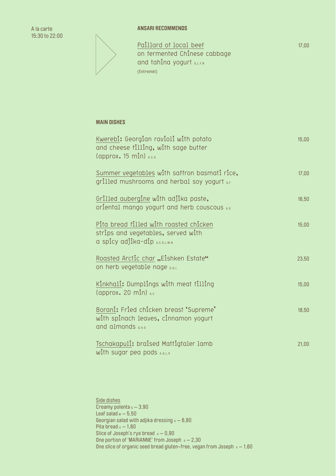**ANSARI RECOMMENDS** 

A la carte 15:30 to 22:00

> Paillard of local beef on fermented Chinese cabbage and tahina yogurt G, L, F, N (Entremet)

# **MAIN DISHES**

| Kwerebi: Georgian ravioli with potato<br>and cheese filling, with sage butter<br>$\left(\text{approx. 15 min}\right)$ $_{\text{A.C.G}}$ | 15,00 |
|-----------------------------------------------------------------------------------------------------------------------------------------|-------|
| Summer vegetables with saffron basmati rice,<br>grilled mushrooms and herbal soy yogurt $_{6,F}$                                        | 17,00 |
| Grilled aubergine with adjika paste,<br>oriental mango yogurt and herb couscous A,G                                                     | 16,50 |
| Pita bread filled with roasted chicken<br>strips and vegetables, served with<br>a spicy adjika-dip A.C.G.L.M.N                          | 15,00 |
| Roasted Arctic char "Eishken Estate"<br>on herb vegetable nage D, G, L                                                                  | 23,50 |
| Kinkhali: Dumplings with meat filling<br>(approx. 20 min) A,c                                                                           | 15,00 |
| Borani: Fried chicken breast 'Supreme'<br>with spinach leaves, cinnamon yogurt<br>and almonds G.H.O                                     | 18,50 |
| Tschakapuli: braised Mattigtaler lamb<br>with sugar pea pods $A, B, L, D$                                                               | 21,00 |

Side dishes Creamy polenta  $G - 3,90$ Leaf salad  $M - 5,50$ Georgian salad with adjika dressing  $A - 6,80$ Pita bread  $_A - 1,60$ Slice of Joseph's rye bread  $A - 0.90$ One portion of 'MARIANNE' from Joseph  $A - 2,30$ One slice of organic seed bread gluten-free, vegan from Joseph  $A - 1,60$  17,00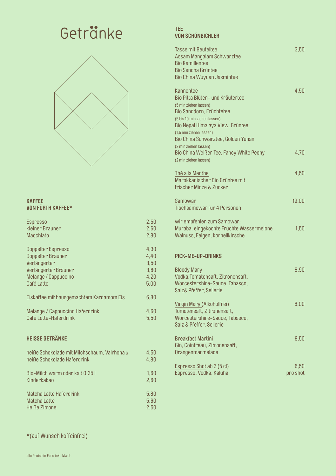# Getränke TEE



### **KAFFEE VON FÜRTH KAFFEE\***

| <b>Espresso</b>                              | 2,50 |
|----------------------------------------------|------|
| kleiner Brauner                              | 2,60 |
| <b>Macchiato</b>                             | 2,80 |
|                                              |      |
| Doppelter Espresso                           | 4,30 |
| Doppelter Brauner                            | 4,40 |
| Verlängerter                                 | 3,50 |
| Verlängerter Brauner                         | 3,60 |
| Melange / Cappuccino                         | 4,20 |
| Café Latte                                   | 5,00 |
|                                              |      |
| Eiskaffee mit hausgemachtem Kardamom Eis     | 6,80 |
| Melange / Cappuccino Haferdrink              | 4,60 |
| Café Latte-Haferdrink                        | 5,50 |
|                                              |      |
|                                              |      |
| <b>HEISSE GETRÄNKE</b>                       |      |
|                                              |      |
| heiße Schokolade mit Milchschaum, Valrhona G | 4,50 |
| heiße Schokolade Haferdrink                  | 4,80 |
|                                              |      |
| Bio-Milch warm oder kalt 0,25 I              | 1,60 |
| Kinderkakao                                  | 2,60 |
|                                              |      |
| <b>Matcha Latte Haferdrink</b>               | 5,80 |
| Matcha Latte                                 | 5,60 |
| Heiße Zitrone                                | 2,50 |

# **VON SCHÖNBICHLER**

| Tasse mit Beuteltee<br>Assam Mangalam Schwarztee<br><b>Bio Kamillentee</b><br><b>Bio Sencha Grüntee</b><br>Bio China Wuyuan Jasmintee                                                                                                   | 3,50             |
|-----------------------------------------------------------------------------------------------------------------------------------------------------------------------------------------------------------------------------------------|------------------|
| Kannentee<br>Bio Pitta Blüten- und Kräutertee<br>(5 min ziehen lassen)<br>Bio Sanddorn, Früchtetee<br>(5 bis 10 min ziehen lassen)<br>Bio Nepal Himalaya View, Grüntee<br>(1,5 min ziehen lassen)<br>Bio China Schwarztee, Golden Yunan | 4,50             |
| (2 min ziehen lassen)<br>Bio China Weißer Tee, Fancy White Peony<br>(2 min ziehen lassen)                                                                                                                                               | 4,70             |
| Thé a la Menthe<br>Marokkanischer Bio Grüntee mit<br>frischer Minze & Zucker                                                                                                                                                            | 4,50             |
| Samowar<br>Tischsamowar für 4 Personen                                                                                                                                                                                                  | 19,00            |
| wir empfehlen zum Samowar:<br>Muraba. eingekochte Früchte Wassermelone<br>Walnuss, Feigen, Kornellkirsche                                                                                                                               | 1,50             |
| <b>PICK-ME-UP-DRINKS</b>                                                                                                                                                                                                                |                  |
| <b>Bloody Mary</b><br>Vodka, Tomatensaft, Zitronensaft,<br>Worcestershire-Sauce, Tabasco,<br>Salz& Pfeffer, Sellerie                                                                                                                    | 8,90             |
| Virgin Mary (Alkoholfrei)<br>Tomatensaft, Zitronensaft,<br>Worcestershire-Sauce, Tabasco,<br>Salz & Pfeffer, Sellerie                                                                                                                   | 6,00             |
| <b>Breakfast Martini</b><br>Gin, Cointreau, Zitronensaft,<br>Orangenmarmelade                                                                                                                                                           | 8,50             |
| Espresso Shot ab 2 (5 cl)<br>Espresso, Vodka, Kaluha                                                                                                                                                                                    | 6,50<br>pro shot |

\*(auf Wunsch koffeinfrei)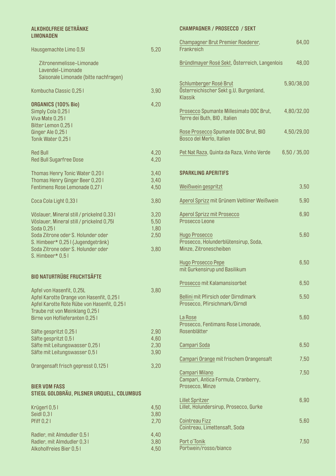| <b>ALKOHOLFREIE GETRÄNKE</b><br><b>LIMONADEN</b>                                                                                                          |                      | <b>CHAMPAGNE</b>                                    |
|-----------------------------------------------------------------------------------------------------------------------------------------------------------|----------------------|-----------------------------------------------------|
| Hausgemachte Limo 0,51                                                                                                                                    | 5,20                 | Champagner<br>Frankreich                            |
| Zitronenmelisse-Limonade<br>Lavendel-Limonade<br>Saisonale Limonade (bitte nachfragen)                                                                    |                      | Bründlmayer                                         |
| Kombucha Classic 0,25 I                                                                                                                                   | 3,90                 | Schlumberge<br>Österreichis<br>Klassik              |
| <b>ORGANICS (100% Bio)</b><br>Simply Cola 0,25 I<br>Viva Mate 0,251<br>Bitter Lemon 0,25 I<br>Ginger Ale 0,251                                            | 4,20                 | Prosecco Spi<br>Terre dei But<br>Rose Prosec        |
| Tonik Water 0,251                                                                                                                                         |                      | <b>Bosco del Me</b>                                 |
| <b>Red Bull</b><br><b>Red Bull Sugarfree Dose</b>                                                                                                         | 4,20<br>4,20         | Pet Nat Raza,                                       |
| Thomas Henry Tonic Water 0,201<br>Thomas Henry Ginger Beer 0,20 I                                                                                         | 3,40<br>3,40         | <b>SPARKLING A</b>                                  |
| Fentimens Rose Lemonade 0,27 I                                                                                                                            | 4,50                 | Weißwein ge                                         |
| Coca Cola Light 0,331                                                                                                                                     | 3,80                 | <b>Aperol Sprizz</b>                                |
| Vöslauer, Mineral still / prickelnd 0,33 l<br>Vöslauer, Mineral still / prickelnd 0,75l<br>Soda 0,251                                                     | 3,20<br>5,50<br>1,80 | <b>Aperol Spriz:</b><br>Prosecco Leo                |
| Soda Zitrone oder S. Holunder oder<br>S. Himbeer* 0,25 I (Jugendgetränk)<br>Soda Zitrone oder S. Holunder oder                                            | 2,50<br>3,80         | <b>Hugo Prosec</b><br>Prosecco, Ho<br>Minze, Zitron |
| S. Himbeer* 0,51                                                                                                                                          |                      | <b>Hugo Prosec</b><br>mit Gurkensi                  |
| <b>BIO NATURTRÜBE FRUCHTSÄFTE</b>                                                                                                                         |                      | Prosecco mil                                        |
| Apfel von Hasenfit, 0,25L<br>Apfel Karotte Orange von Hasenfit, 0,25 I<br>Apfel Karotte Rote Rübe von Hasenfit, 0,25 I<br>Traube rot von Meinklang 0,25 l | 3,80                 | <b>Bellini mit Pfi</b><br>Prosecco, Pf              |
| Birne von Hoflieferanten 0,25 l                                                                                                                           |                      | La Rose<br>Prosecco, Fe                             |
| Säfte gespritzt 0,25 l<br>Säfte gespritzt 0,5 l                                                                                                           | 2,90<br>4,60         | Rosenblätter                                        |
| Säfte mit Leitungswasser 0,25 l<br>Säfte mit Leitungswasser 0,51                                                                                          | 2,30<br>3,90         | Campari Sod                                         |
| Orangensaft frisch gepresst 0,125 l                                                                                                                       | 3,20                 | Campari Ora                                         |
| <b>BIER VOM FASS</b><br>STIEGL GOLDBRÄU, PILSNER URQUELL, COLUMBUS                                                                                        |                      | Campari Mila<br>Campari, Ant<br>Prosecco, Mi        |
|                                                                                                                                                           |                      | <b>Lillet Spritzer</b>                              |
| Krügerl 0,51<br>Seidl 0,31<br><b>Pfiff 0,21</b>                                                                                                           | 4,50<br>3,80<br>2,70 | Lillet, Holund<br>Cointreau Fiz                     |
|                                                                                                                                                           |                      | Cointreau, Li                                       |
| Radler, mit Almdudler 0,51<br>Radler, mit Almdudler 0,31<br>Alkoholfreies Bier 0,51                                                                       | 4,40<br>3,80<br>4,50 | Port o'Tonik<br>Portwein/ro:                        |

| Champagner Brut Premier Roederer,<br>Frankreich                                        | 64,00      |
|----------------------------------------------------------------------------------------|------------|
| Bründlmayer Rosé Sekt, Österreich, Langenlois                                          | 48,00      |
| Schlumberger Rosé Brut<br>Österreichischer Sekt g.U. Burgenland,<br><b>Klassik</b>     | 5,90/38,00 |
| Prosecco Spumante Millesimato DOC Brut,<br>Terre dei Buth, BIO, Italien                | 4,80/32,00 |
| Rose Prosecco Spumante DOC Brut, BIO<br>Bosco del Merlo, Italien                       | 4,50/29,00 |
| Pet Nat Raza, Quinta da Raza, Vinho Verde                                              | 6,50/35,00 |
| <b>SPARKLING APERITIFS</b>                                                             |            |
| Weißwein gespritzt                                                                     | 3,50       |
| Aperol Sprizz mit Grünem Veltliner Weißwein                                            | 5,90       |
| <b>Aperol Sprizz mit Prosecco</b><br>Prosecco Leone                                    | 6,90       |
| <b>Hugo Prosecco</b><br>Prosecco, Holunderblütensirup, Soda,<br>Minze, Zitronescheiben | 5,60       |
| <b>Hugo Prosecco Pepe</b><br>mit Gurkensirup und Basilikum                             | 6,50       |
| Prosecco mit Kalamansisorbet                                                           | 6,50       |
| Bellini mit Pfirsich oder Dirndlmark<br>Prosecco, Pfirsichmark/Dirndl                  | 5,50       |
| La Rose<br>Prosecco, Fentimans Rose Limonade,<br>Rosenblätter                          | 5,60       |
| Campari Soda                                                                           | 6,50       |
| Campari Orange mit frischem Orangensaft                                                | 7,50       |
| Campari Milano<br>Campari, Antica Formula, Cranberry,<br>Prosecco, Minze               | 7,50       |
| <b>Lillet Spritzer</b><br>Lillet, Holundersirup, Prosecco, Gurke                       | 6,90       |
| <b>Cointreau Fizz</b><br>Cointreau, Limettensaft, Soda                                 | 5,60       |
| Port o'Tonik<br>Portwein/rosso/bianco                                                  | 7,50       |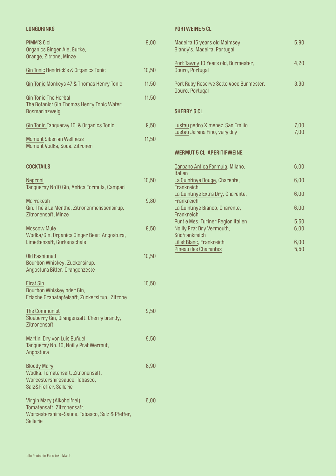#### **LONGDRINKS**

| PIMM'S 6 cl<br>Organics Ginger Ale, Gurke,<br>Orange, Zitrone, Minze                                                  | 9,00  |
|-----------------------------------------------------------------------------------------------------------------------|-------|
| Gin Tonic Hendrick's & Organics Tonic                                                                                 | 10,50 |
| Gin Tonic Monkeys 47 & Thomas Henry Tonic                                                                             | 11,50 |
| <b>Gin Tonic The Herbal</b><br>The Botanist Gin, Thomas Henry Tonic Water,<br>Rosmarinzweig                           | 11,50 |
| Gin Tonic Tanqueray 10 & Organics Tonic                                                                               | 9,50  |
| <b>Mamont Siberian Wellness</b><br>Mamont Vodka, Soda, Zitronen                                                       | 11,50 |
| <b>COCKTAILS</b>                                                                                                      |       |
| Negroni<br>Tanqueray No10 Gin, Antica Formula, Campari                                                                | 10,50 |
| <b>Marrakesh</b><br>Gin, Thé à La Menthe, Zitronenmelissensirup,<br>Zitronensaft, Minze                               | 9,80  |
| <b>Moscow Mule</b><br>Wodka/Gin, Organics Ginger Beer, Angostura,<br>Limettensaft, Gurkenschale                       | 9,50  |
| <b>Old Fashioned</b><br>Bourbon Whiskey, Zuckersirup,<br>Angostura Bitter, Orangenzeste                               | 10,50 |
| <b>First Sin</b><br>Bourbon Whiskey oder Gin,<br>Frische Granatapfelsaft, Zuckersirup, Zitrone                        | 10,50 |
| <b>The Communist</b><br>Sloeberry Gin, Orangensaft, Cherry brandy,<br>Zitronensaft                                    | 9,50  |
| Martini Dry von Luis Buñuel<br>Tanqueray No. 10, Noilly Prat Wermut,<br>Angostura                                     | 9,50  |
| <b>Bloody Mary</b><br>Wodka, Tomatensaft, Zitronensaft,<br>Worcestershiresauce, Tabasco,<br>Salz&Pfeffer, Sellerie    | 8,90  |
| Virgin Mary (Alkoholfrei)<br>Tomatensaft, Zitronensaft,<br>Worcestershire-Sauce, Tabasco, Salz & Pfeffer,<br>Sellerie | 6,00  |

# **PORTWEINE 5 CL**

| Madeira 15 years old Malmsey<br>Blandy's, Madeira, Portugal                                    | 5,90         |
|------------------------------------------------------------------------------------------------|--------------|
| Port Tawny 10 Years old, Burmester,<br>Douro, Portugal                                         | 4,20         |
| Port Ruby Reserve Sotto Voce Burmester,<br>Douro, Portugal                                     | 3,90         |
| <b>SHERRY 5 CL</b>                                                                             |              |
| Lustau pedro Ximenez San Emilio<br>Lustau Jarana Fino, very dry                                | 7,00<br>7,00 |
|                                                                                                |              |
| <b>WERMUT 5 CL APERITIFWEINE</b>                                                               |              |
| Carpano Antica Formula, Milano,                                                                | 6,00         |
| <b>Italien</b><br>La Quintinye Rouge, Charente,                                                | 6,00         |
| Frankreich<br>La Quintinye Extra Dry, Charente,                                                | 6,00         |
| Frankreich<br>La Quintinye Bianco, Charente,                                                   | 6,00         |
| Frankreich<br>Punt e Mes, Turiner Region Italien<br>Noilly Prat Dry Vermouth,<br>Südfrankreich | 5,50<br>6,00 |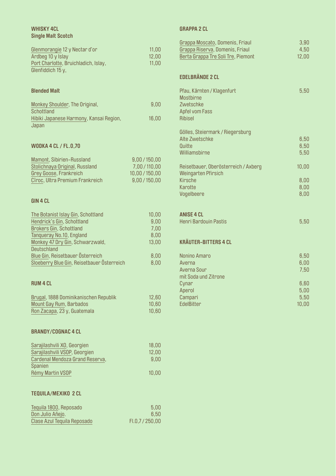## **WHISKY 4CL Single Malt Scotch**

| Glenmorangie 12 y Nectar d'or        | 11.00 |
|--------------------------------------|-------|
| Ardbeg 10 y Islay                    | 12.00 |
| Port Charlotte, Bruichladich, Islay, | 11.00 |
| Glenfiddich $15y$ ,                  |       |

### **Blended Malt**

| Monkey Shoulder, The Original,          | 9.00  |
|-----------------------------------------|-------|
| Schottland                              |       |
| Hibiki Japanese Harmony, Kansai Region, | 16.00 |
| Japan                                   |       |

### **WODKA 4 CL / FL.0,70**

| Mamont, Sibirien-Russland       | 9,00/150,00   |
|---------------------------------|---------------|
| Stolichnaya Original, Russland  | 7,00 / 110,00 |
| Grey Goose, Frankreich          | 10,00/150,00  |
| Cîroc, Ultra Premium Frankreich | 9,00/150,00   |

# **GIN 4 CL**

| The Botanist Islay Gin, Schottland         | 10,00 |
|--------------------------------------------|-------|
| Hendrick's Gin, Schottland                 | 9,00  |
| <b>Brokers Gin, Schottland</b>             | 7,00  |
| Tanqueray No.10, England                   | 8,00  |
| Monkey 47 Dry Gin, Schwarzwald,            | 13,00 |
| Deutschland                                |       |
| Blue Gin, Reisetbauer Österreich           | 8,00  |
| Sloeberry Blue Gin, Reisetbauer Österreich | 8,00  |
|                                            |       |

#### **RUM 4 CL**

| Brugal, 1888 Dominikanischen Republik | 12.60 |
|---------------------------------------|-------|
| Mount Gay Rum, Barbados               | 10.60 |
| Ron Zacapa, 23 y, Guatemala           | 10.60 |

#### **BRANDY/COGNAC 4 CL**

| Sarajilashvili XO, Georgien     | 18,00 |
|---------------------------------|-------|
| Sarajilashvili VSOP, Georgien   | 12,00 |
| Cardenal Mendoza Grand Reserva, | 9,00  |
| <b>Spanien</b>                  |       |
| Rémy Martin VSOP                | 10,00 |
|                                 |       |
|                                 |       |
| <b>TEQUILA/MEXIKO 2 CL</b>      |       |

| Tequila 1800, Reposado      | 5.00            |
|-----------------------------|-----------------|
| Don Julio Añejo.            | 6.50            |
| Clase Azul Tequila Reposado | FI.0.7 / 250.00 |

### **GRAPPA 2 CL**

| Grappa Moscato, Domenis, Friaul<br>Grappa Riserva, Domenis, Friaul<br>Berta Grappa Tre Soli Tre, Piemont | 3,90<br>4,50<br>12,00 |
|----------------------------------------------------------------------------------------------------------|-----------------------|
| <b>EDELBRÄNDE 2 CL</b>                                                                                   |                       |
| Pfau, Kärnten / Klagenfurt<br><b>Mostbirne</b><br>Zwetschke<br>Apfel vom Fass<br><b>Ribisel</b>          | 5,50                  |
| Gölles, Steiermark / Riegersburg<br>Alte Zwetschke                                                       | 6,50                  |
| Quitte                                                                                                   | 6,50                  |
| Williamsbirne                                                                                            | 5,50                  |
| Reisetbauer, Oberösterreich / Axberg<br>Weingarten Pfirsich                                              | 10,00                 |
| <b>Kirsche</b>                                                                                           | 8,00                  |
| Karotte<br>Vogelbeere                                                                                    | 8,00<br>8,00          |
| <b>ANISE 4 CL</b>                                                                                        |                       |
| Henri Bardouin Pastis                                                                                    | 5,50                  |
| <b>KRÄUTER-BITTERS 4 CL</b>                                                                              |                       |
| Nonino Amaro                                                                                             | 6,50                  |
| Averna<br>Averna Sour                                                                                    | 6,00<br>7,50          |
| mit Soda und Zitrone<br>Cynar                                                                            | 6,60                  |
| Aperol<br>Campari                                                                                        | 5,00<br>5,50          |
| EdelBitter                                                                                               | 10,00                 |
|                                                                                                          |                       |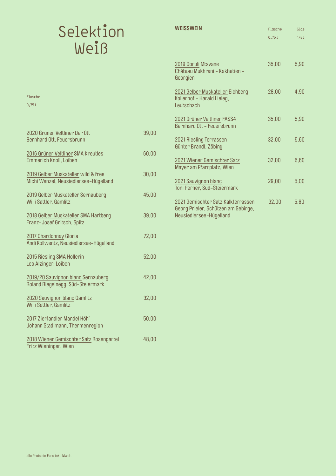# Selektion Weiß

Flasche 0,75l

| WFISSWFIN                                                                                            | Flasche<br>0,751 | Glas<br>1/81 |
|------------------------------------------------------------------------------------------------------|------------------|--------------|
| 2019 Goruli Mtsvane<br>Château Mukhrani - Kakhetien -<br>Georgien                                    | 35,00            | 5,90         |
| 2021 Gelber Muskateller Eichberg<br>Kollerhof - Harald Lieleg,<br>Leutschach                         | 28,00            | 4,90         |
| 2021 Grüner Veltliner FASS4<br>Bernhard Ott - Feuersbrunn                                            | 35,00            | 5,90         |
| 2021 Riesling Terrassen<br>Günter Brandl, Zöbing                                                     | 32,00            | 5,60         |
| 2021 Wiener Gemischter Satz<br>Mayer am Pfarrplatz, Wien                                             | 32,00            | 5,60         |
| 2021 Sauvignon blanc<br>Toni Perner, Süd-Steiermark                                                  | 29,00            | 5,00         |
| 2021 Gemischter Satz Kalkterrassen<br>Georg Prieler, Schützen am Gebirge,<br>Neusiedlersee-Hügelland | 32,00            | 5,60         |

| 2020 Grüner Veltliner Der Ott<br>Bernhard Ott, Feuersbrunn                   | 39,00 |
|------------------------------------------------------------------------------|-------|
| 2016 Grüner Veltliner SMA Kreutles<br><b>Emmerich Knoll, Loiben</b>          | 60,00 |
| 2019 Gelber Muskateller wild & free<br>Michi Wenzel, Neusiedlersee-Hügelland | 30,00 |
| 2019 Gelber Muskateller Sernauberg<br>Willi Sattler, Gamlitz                 | 45,00 |
| 2018 Gelber Muskateller SMA Hartberg<br>Franz-Josef Gritsch, Spitz           | 39,00 |
| 2017 Chardonnay Gloria<br>Andi Kollwentz, Neusiedlersee-Hügelland            | 72,00 |
| 2015 Riesling SMA Hollerin<br>Leo Alzinger, Loiben                           | 52,00 |
| 2019/20 Sauvignon blanc Sernauberg<br>Roland Riegelnegg, Süd-Steiermark      | 42,00 |
| 2020 Sauvignon blanc Gamlitz<br>Willi Sattler, Gamlitz                       | 32,00 |
| 2017 Zierfandler Mandel Höh'<br>Johann Stadlmann, Thermenregion              | 50,00 |
| 2018 Wiener Gemischter Satz Rosengartel<br>Fritz Wieninger, Wien             | 48,00 |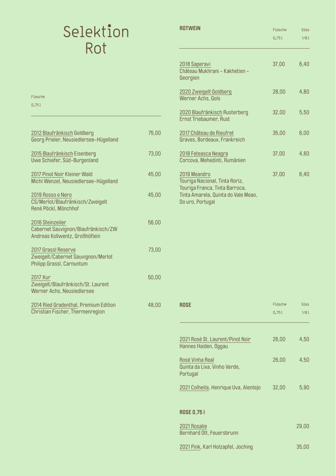# Selektion Rot

| ROTWEIN                                                                                                                                     | <b>Flasche</b> | Glas |
|---------------------------------------------------------------------------------------------------------------------------------------------|----------------|------|
|                                                                                                                                             | 0,751          | 1/81 |
| 2018 Saperavi<br>Château Mukhrani - Kakhetien -<br>Georgien                                                                                 | 37,00          | 6,40 |
| 2020 Zweigelt Goldberg<br>Werner Achs, Gols                                                                                                 | 28,00          | 4,80 |
| 2020 Blaufränkisch Rusterberg<br>Ernst Triebaumer, Rust                                                                                     | 32,00          | 5,50 |
| 2017 Château de Rieufret<br>Graves, Bordeaux, Frankreich                                                                                    | 35,00          | 6,00 |
| 2018 Feteasca Neagra<br>Corcova, Mehedinti, Rumänien                                                                                        | 37,00          | 4.60 |
| 2019 Meandro<br>Touriga Nacional, Tinta Roriz,<br>Touriga Franca, Tinta Barroca,<br>Tinta Amarela, Quinta do Vale Meao,<br>Do uro, Portugal | 37,00          | 6,40 |

| ROSE                                                        | Flasche | Glas  |
|-------------------------------------------------------------|---------|-------|
|                                                             | 0,751   | 1/81  |
|                                                             |         |       |
| 2021 Rosé St. Laurent/Pinot Noir<br>Hannes Haiden, Oggau    | 26,00   | 4,50  |
| Rosé Vinha Real<br>Quinta da Lixa, Vinho Verde,<br>Portugal | 26,00   | 4,50  |
| 2021 Colheita, Henrique Uva, Alentejo                       | 32,00   | 5.90  |
|                                                             |         |       |
| ROSE 0,751                                                  |         |       |
| 2021 Rosalie<br>Bernhard Ott, Feuersbrunn                   |         | 29,00 |
| 2021 Pink, Karl Holzapfel, Joching                          |         | 35,00 |

# Flasche

0,75l

| 2012 Blaufränkisch Goldberg<br>Georg Prieler, Neusiedlersee-Hügelland                     | 75,00 |
|-------------------------------------------------------------------------------------------|-------|
| 2015 Blaufränkisch Eisenberg<br>Uwe Schiefer, Süd-Burgenland                              | 73,00 |
| 2017 Pinot Noir Kleiner Wald<br>Michi Wenzel, Neusiedlersee-Hügelland                     | 45,00 |
| 2019 Rosso e Nero<br>CS/Merlot/Blaufränkisch/Zweigelt<br>René Pöckl, Mönchhof             | 45,00 |
| 2016 Steinzeiler<br>Cabernet Sauvignon/Blaufränkisch/ZW<br>Andreas Kollwentz, Großhöflein | 56,00 |
| 2017 Grassl Reserve<br>Zweigelt/Cabernet Sauvignon/Merlot<br>Philipp Grassl, Carnuntum    | 73,00 |
| 2017 Xur<br>Zweigelt/Blaufränkisch/St. Laurent<br>Werner Achs, Neusiedlersee              | 50,00 |
| 2014 Ried Gradenthal, Premium Edition                                                     | 48,00 |

Christian Fischer, Thermenregion